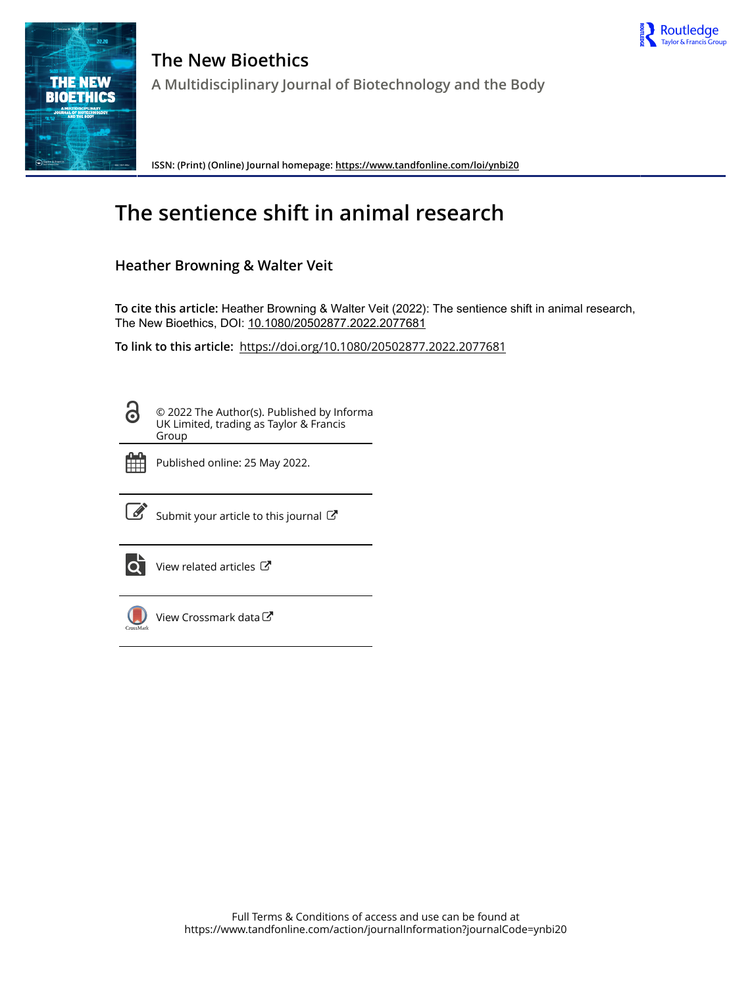



**The New Bioethics A Multidisciplinary Journal of Biotechnology and the Body**

**ISSN: (Print) (Online) Journal homepage:<https://www.tandfonline.com/loi/ynbi20>**

# **The sentience shift in animal research**

## **Heather Browning & Walter Veit**

**To cite this article:** Heather Browning & Walter Veit (2022): The sentience shift in animal research, The New Bioethics, DOI: [10.1080/20502877.2022.2077681](https://www.tandfonline.com/action/showCitFormats?doi=10.1080/20502877.2022.2077681)

**To link to this article:** <https://doi.org/10.1080/20502877.2022.2077681>

8

© 2022 The Author(s). Published by Informa UK Limited, trading as Taylor & Francis Group



Published online: 25 May 2022.



 $\overrightarrow{S}$  [Submit your article to this journal](https://www.tandfonline.com/action/authorSubmission?journalCode=ynbi20&show=instructions)  $G$ 



 $\overrightarrow{Q}$  [View related articles](https://www.tandfonline.com/doi/mlt/10.1080/20502877.2022.2077681)  $\overrightarrow{C}$ 



[View Crossmark data](http://crossmark.crossref.org/dialog/?doi=10.1080/20502877.2022.2077681&domain=pdf&date_stamp=2022-05-25)<sup>C</sup>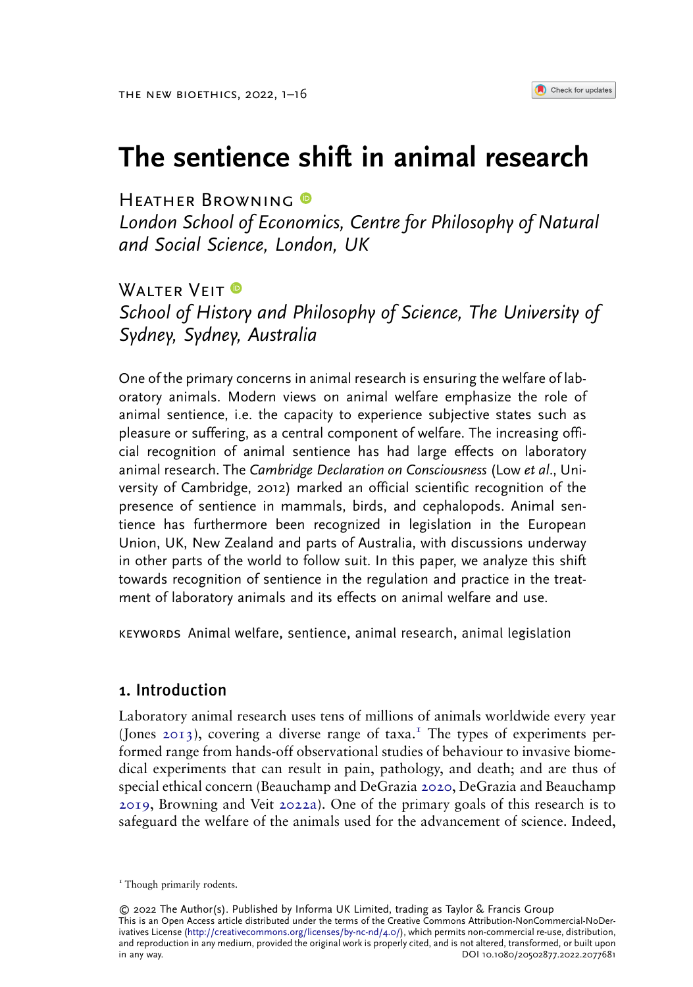## The sentience shift in animal research

HEATHER BROWNING

London School of Economics, Centre for Philosophy of Natural and Social Science, London, UK

## **WAITER VEIT ®**

where the United School of Science, The University of Sydney, Sydney, Australia

One of the primary concerns in animal research is ensuring the welfare of laboratory animals. Modern views on animal welfare emphasize the role of animal sentience, i.e. the capacity to experience subjective states such as pleasure or suffering, as a central component of welfare. The increasing official recognition of animal sentience has had large effects on laboratory animal research. The Cambridge Declaration on Consciousness (Low et al., University of Cambridge, 2012) marked an official scientific recognition of the presence of sentience in mammals, birds, and cephalopods. Animal sentience has furthermore been recognized in legislation in the European Union, UK, New Zealand and parts of Australia, with discussions underway in other parts of the world to follow suit. In this paper, we analyze this shift towards recognition of sentience in the regulation and practice in the treatment of laboratory animals and its effects on animal welfare and use.

keywords Animal welfare, sentience, animal research, animal legislation

## 1. Introduction

<span id="page-1-2"></span><span id="page-1-1"></span><span id="page-1-0"></span>Laboratory animal research uses tens of millions of animals worldwide every year (Jones [2013\)](#page-16-0), covering a diverse range of taxa.<sup>1</sup> The types of experiments performed range from hands-off observational studies of behaviour to invasive biomedical experiments that can result in pain, pathology, and death; and are thus of special ethical concern (Beauchamp and DeGrazia [2020,](#page-14-0) DeGrazia and Beauchamp [2019,](#page-15-0) Browning and Veit [2022a\)](#page-15-1). One of the primary goals of this research is to safeguard the welfare of the animals used for the advancement of science. Indeed,

© 2022 The Author(s). Published by Informa UK Limited, trading as Taylor & Francis Group This is an Open Access article distributed under the terms of the Creative Commons Attribution-NonCommercial-NoDerivatives License ([http://creativecommons.org/licenses/by-nc-nd/4.0/\)](http://creativecommons.org/licenses/by-nc-nd/4.0/), which permits non-commercial re-use, distribution, and reproduction in any medium, provided the original work is properly cited, and is not altered, transformed, or built upon<br>DOI 10.1080/20502877.2022.2077681 DOI 10.1080/20502877.2022.2077681

<sup>&</sup>lt;sup>1</sup> Though primarily rodents.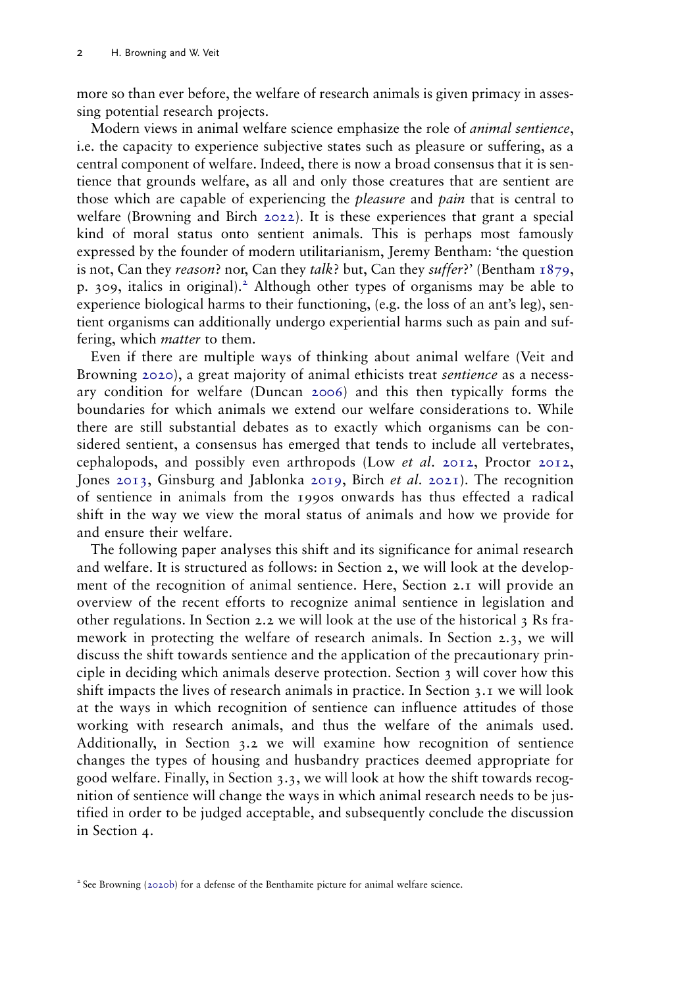more so than ever before, the welfare of research animals is given primacy in assessing potential research projects.

<span id="page-2-3"></span>Modern views in animal welfare science emphasize the role of animal sentience, i.e. the capacity to experience subjective states such as pleasure or suffering, as a central component of welfare. Indeed, there is now a broad consensus that it is sentience that grounds welfare, as all and only those creatures that are sentient are those which are capable of experiencing the *pleasure* and *pain* that is central to welfare (Browning and Birch [2022](#page-15-2)). It is these experiences that grant a special kind of moral status onto sentient animals. This is perhaps most famously expressed by the founder of modern utilitarianism, Jeremy Bentham: 'the question is not, Can they reason? nor, Can they talk? but, Can they suffer?' (Bentham  $1879$ , p. 309, italics in original).<sup>2</sup> Although other types of organisms may be able to experience biological harms to their functioning, (e.g. the loss of an ant's leg), sentient organisms can additionally undergo experiential harms such as pain and suffering, which *matter* to them.

<span id="page-2-6"></span><span id="page-2-5"></span><span id="page-2-4"></span><span id="page-2-0"></span>Even if there are multiple ways of thinking about animal welfare (Veit and Browning [2020](#page-16-1)), a great majority of animal ethicists treat *sentience* as a necessary condition for welfare (Duncan [2006](#page-15-3)) and this then typically forms the boundaries for which animals we extend our welfare considerations to. While there are still substantial debates as to exactly which organisms can be considered sentient, a consensus has emerged that tends to include all vertebrates, cephalopods, and possibly even arthropods (Low *et al.* [2012](#page-16-2), Proctor [2012,](#page-16-3) Jones [2013](#page-16-0), Ginsburg and Jablonka [2019,](#page-15-4) Birch et al. [2021](#page-14-2)). The recognition of sentience in animals from the 1990s onwards has thus effected a radical shift in the way we view the moral status of animals and how we provide for and ensure their welfare.

<span id="page-2-1"></span>The following paper analyses this shift and its significance for animal research and welfare. It is structured as follows: in Section 2, we will look at the development of the recognition of animal sentience. Here, Section 2.1 will provide an overview of the recent efforts to recognize animal sentience in legislation and other regulations. In Section 2.2 we will look at the use of the historical 3 Rs framework in protecting the welfare of research animals. In Section 2.3, we will discuss the shift towards sentience and the application of the precautionary principle in deciding which animals deserve protection. Section 3 will cover how this shift impacts the lives of research animals in practice. In Section 3.1 we will look at the ways in which recognition of sentience can influence attitudes of those working with research animals, and thus the welfare of the animals used. Additionally, in Section 3.2 we will examine how recognition of sentience changes the types of housing and husbandry practices deemed appropriate for good welfare. Finally, in Section 3.3, we will look at how the shift towards recognition of sentience will change the ways in which animal research needs to be justified in order to be judged acceptable, and subsequently conclude the discussion in Section 4.

<span id="page-2-2"></span><sup>2</sup> See Browning ([2020b](#page-14-3)) for a defense of the Benthamite picture for animal welfare science.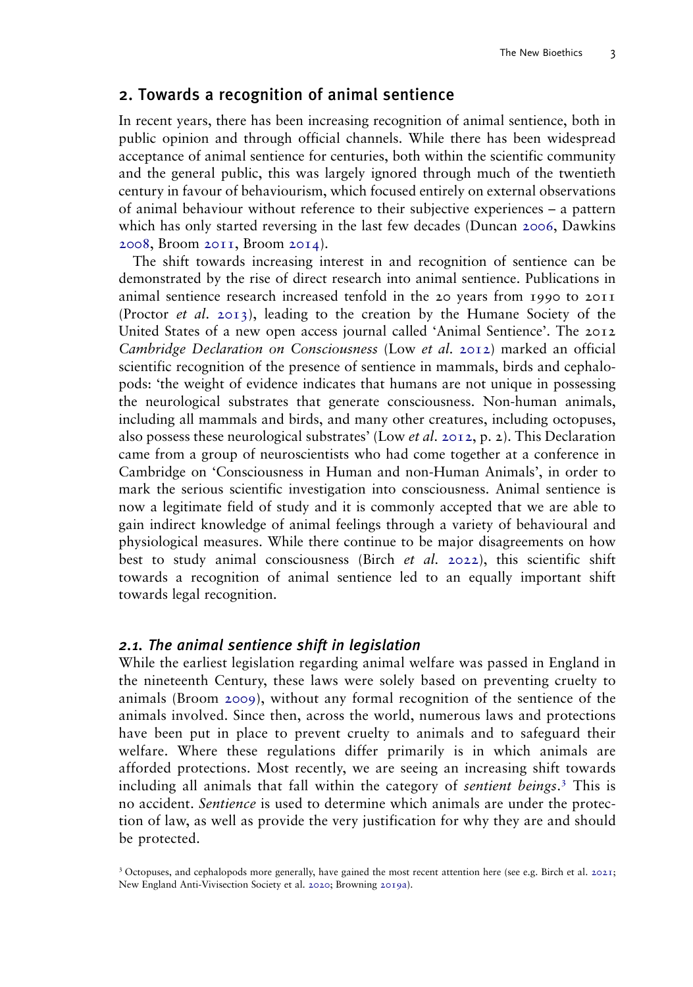## 2. Towards a recognition of animal sentience

In recent years, there has been increasing recognition of animal sentience, both in public opinion and through official channels. While there has been widespread acceptance of animal sentience for centuries, both within the scientific community and the general public, this was largely ignored through much of the twentieth century in favour of behaviourism, which focused entirely on external observations of animal behaviour without reference to their subjective experiences – a pattern which has only started reversing in the last few decades (Duncan [2006](#page-15-3), Dawkins [2008,](#page-15-5) Broom [2011](#page-14-4), Broom [2014\)](#page-14-5).

<span id="page-3-5"></span><span id="page-3-4"></span><span id="page-3-2"></span>The shift towards increasing interest in and recognition of sentience can be demonstrated by the rise of direct research into animal sentience. Publications in animal sentience research increased tenfold in the 20 years from 1990 to 2011 (Proctor *et al.* [2013\)](#page-16-4), leading to the creation by the Humane Society of the United States of a new open access journal called 'Animal Sentience'. The 2012 Cambridge Declaration on Consciousness (Low et al. [2012](#page-16-2)) marked an official scientific recognition of the presence of sentience in mammals, birds and cephalopods: 'the weight of evidence indicates that humans are not unique in possessing the neurological substrates that generate consciousness. Non-human animals, including all mammals and birds, and many other creatures, including octopuses, also possess these neurological substrates' (Low *et al.* [2012](#page-16-2), p. 2). This Declaration came from a group of neuroscientists who had come together at a conference in Cambridge on 'Consciousness in Human and non-Human Animals', in order to mark the serious scientific investigation into consciousness. Animal sentience is now a legitimate field of study and it is commonly accepted that we are able to gain indirect knowledge of animal feelings through a variety of behavioural and physiological measures. While there continue to be major disagreements on how best to study animal consciousness (Birch et al. [2022\)](#page-14-6), this scientific shift towards a recognition of animal sentience led to an equally important shift towards legal recognition.

#### <span id="page-3-0"></span>2.1. The animal sentience shift in legislation

<span id="page-3-1"></span>While the earliest legislation regarding animal welfare was passed in England in the nineteenth Century, these laws were solely based on preventing cruelty to animals (Broom [2009](#page-14-7)), without any formal recognition of the sentience of the animals involved. Since then, across the world, numerous laws and protections have been put in place to prevent cruelty to animals and to safeguard their welfare. Where these regulations differ primarily is in which animals are afforded protections. Most recently, we are seeing an increasing shift towards including all animals that fall within the category of sentient beings.<sup>3</sup> This is no accident. Sentience is used to determine which animals are under the protection of law, as well as provide the very justification for why they are and should be protected.

<span id="page-3-3"></span><sup>3</sup> Octopuses, and cephalopods more generally, have gained the most recent attention here (see e.g. Birch et al. [2021;](#page-14-2) New England Anti-Vivisection Society et al. [2020](#page-15-6); Browning [2019a\)](#page-14-8).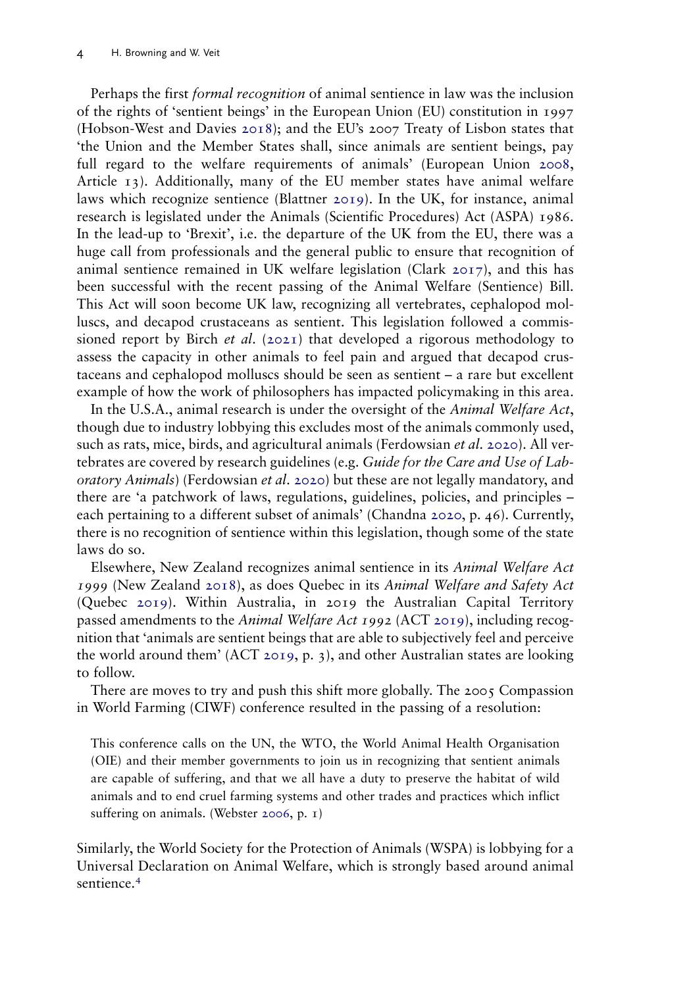<span id="page-4-6"></span><span id="page-4-4"></span><span id="page-4-1"></span>Perhaps the first formal recognition of animal sentience in law was the inclusion of the rights of 'sentient beings' in the European Union (EU) constitution in 1997 (Hobson-West and Davies [2018](#page-15-7)); and the EU's 2007 Treaty of Lisbon states that 'the Union and the Member States shall, since animals are sentient beings, pay full regard to the welfare requirements of animals' (European Union [2008,](#page-15-8) Article 13). Additionally, many of the EU member states have animal welfare laws which recognize sentience (Blattner [2019](#page-14-9)). In the UK, for instance, animal research is legislated under the Animals (Scientific Procedures) Act (ASPA) 1986. In the lead-up to 'Brexit', i.e. the departure of the UK from the EU, there was a huge call from professionals and the general public to ensure that recognition of animal sentience remained in UK welfare legislation (Clark [2017](#page-15-9)), and this has been successful with the recent passing of the Animal Welfare (Sentience) Bill. This Act will soon become UK law, recognizing all vertebrates, cephalopod molluscs, and decapod crustaceans as sentient. This legislation followed a commissioned report by Birch *et al.* ([2021](#page-14-2)) that developed a rigorous methodology to assess the capacity in other animals to feel pain and argued that decapod crustaceans and cephalopod molluscs should be seen as sentient – a rare but excellent example of how the work of philosophers has impacted policymaking in this area.

<span id="page-4-5"></span><span id="page-4-3"></span>In the U.S.A., animal research is under the oversight of the Animal Welfare Act, though due to industry lobbying this excludes most of the animals commonly used, such as rats, mice, birds, and agricultural animals (Ferdowsian et al. [2020\)](#page-15-10). All vertebrates are covered by research guidelines (e.g. Guide for the Care and Use of Lab-oratory Animals) (Ferdowsian et al. [2020](#page-15-10)) but these are not legally mandatory, and there are 'a patchwork of laws, regulations, guidelines, policies, and principles – each pertaining to a different subset of animals' (Chandna [2020,](#page-15-11) p. 46). Currently, there is no recognition of sentience within this legislation, though some of the state laws do so.

<span id="page-4-8"></span><span id="page-4-7"></span><span id="page-4-2"></span>Elsewhere, New Zealand recognizes animal sentience in its Animal Welfare Act 1999 (New Zealand [2018](#page-16-5)), as does Quebec in its Animal Welfare and Safety Act (Quebec [2019](#page-16-6)). Within Australia, in 2019 the Australian Capital Territory passed amendments to the Animal Welfare Act 1992 (ACT [2019\)](#page-14-10), including recognition that 'animals are sentient beings that are able to subjectively feel and perceive the world around them' (ACT [2019,](#page-14-10) p. 3), and other Australian states are looking to follow.

<span id="page-4-0"></span>There are moves to try and push this shift more globally. The 2005 Compassion in World Farming (CIWF) conference resulted in the passing of a resolution:

This conference calls on the UN, the WTO, the World Animal Health Organisation (OIE) and their member governments to join us in recognizing that sentient animals are capable of suffering, and that we all have a duty to preserve the habitat of wild animals and to end cruel farming systems and other trades and practices which inflict suffering on animals. (Webster [2006](#page-16-7), p. 1)

<span id="page-4-9"></span>Similarly, the World Society for the Protection of Animals (WSPA) is lobbying for a Universal Declaration on Animal Welfare, which is strongly based around animal sentience.<sup>4</sup>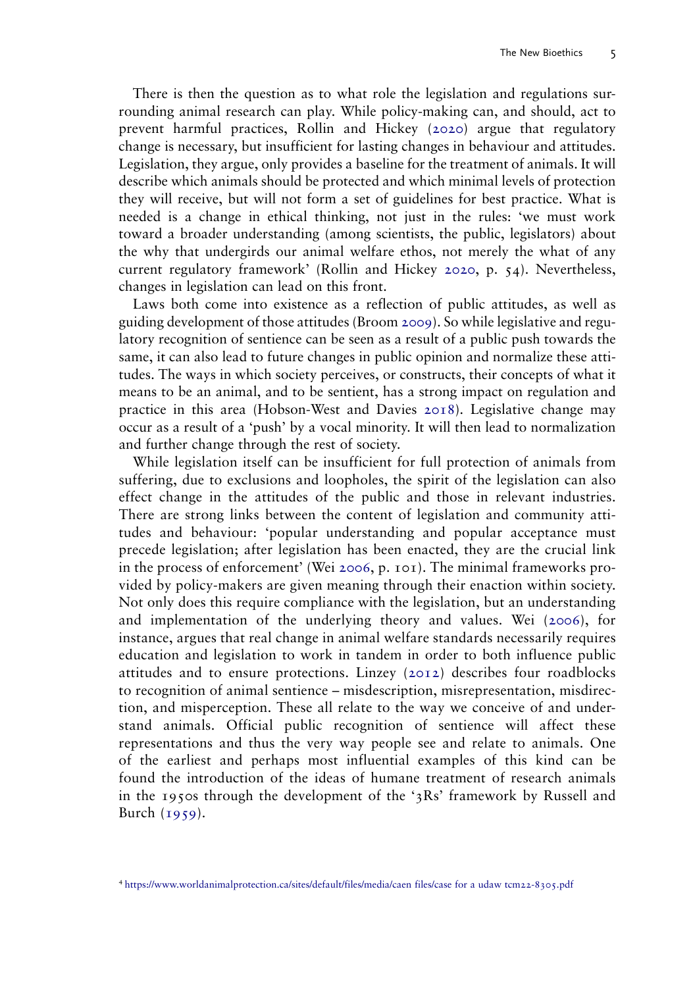There is then the question as to what role the legislation and regulations surrounding animal research can play. While policy-making can, and should, act to prevent harmful practices, Rollin and Hickey ([2020](#page-16-8)) argue that regulatory change is necessary, but insufficient for lasting changes in behaviour and attitudes. Legislation, they argue, only provides a baseline for the treatment of animals. It will describe which animals should be protected and which minimal levels of protection they will receive, but will not form a set of guidelines for best practice. What is needed is a change in ethical thinking, not just in the rules: 'we must work toward a broader understanding (among scientists, the public, legislators) about the why that undergirds our animal welfare ethos, not merely the what of any current regulatory framework' (Rollin and Hickey [2020,](#page-16-8) p. 54). Nevertheless, changes in legislation can lead on this front.

<span id="page-5-1"></span>Laws both come into existence as a reflection of public attitudes, as well as guiding development of those attitudes (Broom [2009\)](#page-14-7). So while legislative and regulatory recognition of sentience can be seen as a result of a public push towards the same, it can also lead to future changes in public opinion and normalize these attitudes. The ways in which society perceives, or constructs, their concepts of what it means to be an animal, and to be sentient, has a strong impact on regulation and practice in this area (Hobson-West and Davies [2018](#page-15-7)). Legislative change may occur as a result of a 'push' by a vocal minority. It will then lead to normalization and further change through the rest of society.

<span id="page-5-3"></span><span id="page-5-0"></span>While legislation itself can be insufficient for full protection of animals from suffering, due to exclusions and loopholes, the spirit of the legislation can also effect change in the attitudes of the public and those in relevant industries. There are strong links between the content of legislation and community attitudes and behaviour: 'popular understanding and popular acceptance must precede legislation; after legislation has been enacted, they are the crucial link in the process of enforcement' (Wei [2006,](#page-16-9) p. 101). The minimal frameworks provided by policy-makers are given meaning through their enaction within society. Not only does this require compliance with the legislation, but an understanding and implementation of the underlying theory and values. Wei ([2006](#page-16-9)), for instance, argues that real change in animal welfare standards necessarily requires education and legislation to work in tandem in order to both influence public attitudes and to ensure protections. Linzey ([2012](#page-16-10)) describes four roadblocks to recognition of animal sentience – misdescription, misrepresentation, misdirection, and misperception. These all relate to the way we conceive of and understand animals. Official public recognition of sentience will affect these representations and thus the very way people see and relate to animals. One of the earliest and perhaps most influential examples of this kind can be found the introduction of the ideas of humane treatment of research animals in the 1950s through the development of the '3Rs' framework by Russell and Burch  $(1959)$  $(1959)$  $(1959)$ .

<span id="page-5-2"></span><sup>4</sup> [https://www.worldanimalprotection.ca/sites/default/files/media/caen files/case for a udaw tcm22-8305.pdf](https://www.worldanimalprotection.ca/sites/default/files/media/caen%20files/case%20for%20a%20udaw%20tcm22-8305.pdf)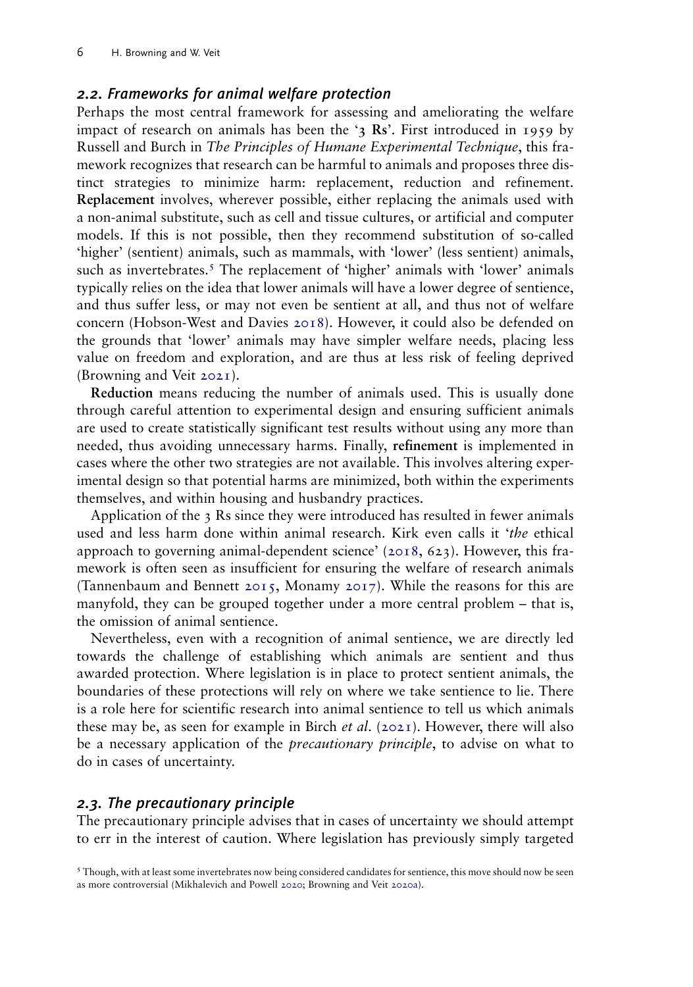#### 2.2. Frameworks for animal welfare protection

Perhaps the most central framework for assessing and ameliorating the welfare impact of research on animals has been the '3 Rs'. First introduced in 1959 by Russell and Burch in The Principles of Humane Experimental Technique, this framework recognizes that research can be harmful to animals and proposes three distinct strategies to minimize harm: replacement, reduction and refinement. Replacement involves, wherever possible, either replacing the animals used with a non-animal substitute, such as cell and tissue cultures, or artificial and computer models. If this is not possible, then they recommend substitution of so-called 'higher' (sentient) animals, such as mammals, with 'lower' (less sentient) animals, such as invertebrates.<sup>5</sup> The replacement of 'higher' animals with 'lower' animals typically relies on the idea that lower animals will have a lower degree of sentience, and thus suffer less, or may not even be sentient at all, and thus not of welfare concern (Hobson-West and Davies [2018](#page-15-7)). However, it could also be defended on the grounds that 'lower' animals may have simpler welfare needs, placing less value on freedom and exploration, and are thus at less risk of feeling deprived (Browning and Veit [2021\)](#page-15-12).

<span id="page-6-1"></span>Reduction means reducing the number of animals used. This is usually done through careful attention to experimental design and ensuring sufficient animals are used to create statistically significant test results without using any more than needed, thus avoiding unnecessary harms. Finally, refinement is implemented in cases where the other two strategies are not available. This involves altering experimental design so that potential harms are minimized, both within the experiments themselves, and within housing and husbandry practices.

<span id="page-6-3"></span><span id="page-6-2"></span>Application of the 3 Rs since they were introduced has resulted in fewer animals used and less harm done within animal research. Kirk even calls it 'the ethical approach to governing animal-dependent science' ([2018](#page-16-12), 623). However, this framework is often seen as insufficient for ensuring the welfare of research animals (Tannenbaum and Bennett [2015](#page-16-13), Monamy [2017](#page-16-14)). While the reasons for this are manyfold, they can be grouped together under a more central problem – that is, the omission of animal sentience.

Nevertheless, even with a recognition of animal sentience, we are directly led towards the challenge of establishing which animals are sentient and thus awarded protection. Where legislation is in place to protect sentient animals, the boundaries of these protections will rely on where we take sentience to lie. There is a role here for scientific research into animal sentience to tell us which animals these may be, as seen for example in Birch *et al.* [\(2021\)](#page-14-2). However, there will also be a necessary application of the *precautionary principle*, to advise on what to do in cases of uncertainty.

#### 2.3. The precautionary principle

The precautionary principle advises that in cases of uncertainty we should attempt to err in the interest of caution. Where legislation has previously simply targeted

<span id="page-6-0"></span><sup>&</sup>lt;sup>5</sup> Though, with at least some invertebrates now being considered candidates for sentience, this move should now be seen as more controversial (Mikhalevich and Powell [2020](#page-16-15); Browning and Veit [2020a\)](#page-15-13).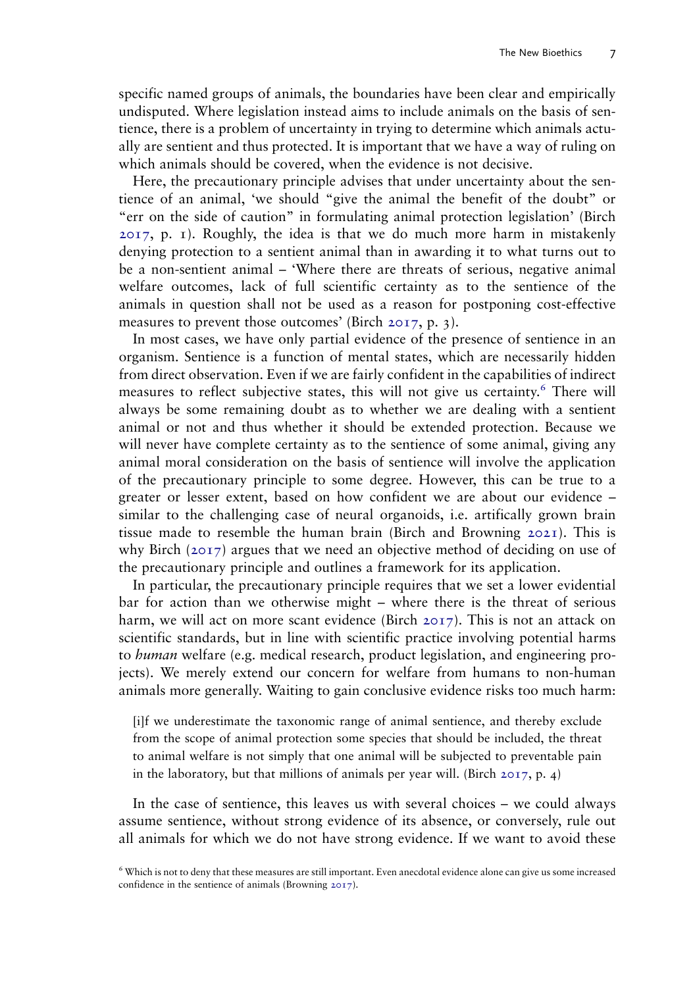specific named groups of animals, the boundaries have been clear and empirically undisputed. Where legislation instead aims to include animals on the basis of sentience, there is a problem of uncertainty in trying to determine which animals actually are sentient and thus protected. It is important that we have a way of ruling on which animals should be covered, when the evidence is not decisive.

Here, the precautionary principle advises that under uncertainty about the sentience of an animal, 'we should "give the animal the benefit of the doubt" or "err on the side of caution" in formulating animal protection legislation' (Birch [2017,](#page-14-11) p. 1). Roughly, the idea is that we do much more harm in mistakenly denying protection to a sentient animal than in awarding it to what turns out to be a non-sentient animal – 'Where there are threats of serious, negative animal welfare outcomes, lack of full scientific certainty as to the sentience of the animals in question shall not be used as a reason for postponing cost-effective measures to prevent those outcomes' (Birch [2017](#page-14-11), p. 3).

In most cases, we have only partial evidence of the presence of sentience in an organism. Sentience is a function of mental states, which are necessarily hidden from direct observation. Even if we are fairly confident in the capabilities of indirect measures to reflect subjective states, this will not give us certainty.<sup>6</sup> There will always be some remaining doubt as to whether we are dealing with a sentient animal or not and thus whether it should be extended protection. Because we will never have complete certainty as to the sentience of some animal, giving any animal moral consideration on the basis of sentience will involve the application of the precautionary principle to some degree. However, this can be true to a greater or lesser extent, based on how confident we are about our evidence – similar to the challenging case of neural organoids, i.e. artifically grown brain tissue made to resemble the human brain (Birch and Browning [2021\)](#page-14-12). This is why Birch ([2017\)](#page-14-11) argues that we need an objective method of deciding on use of the precautionary principle and outlines a framework for its application.

<span id="page-7-1"></span>In particular, the precautionary principle requires that we set a lower evidential bar for action than we otherwise might – where there is the threat of serious harm, we will act on more scant evidence (Birch [2017](#page-14-11)). This is not an attack on scientific standards, but in line with scientific practice involving potential harms to *human* welfare (e.g. medical research, product legislation, and engineering projects). We merely extend our concern for welfare from humans to non-human animals more generally. Waiting to gain conclusive evidence risks too much harm:

<span id="page-7-0"></span>[i]f we underestimate the taxonomic range of animal sentience, and thereby exclude from the scope of animal protection some species that should be included, the threat to animal welfare is not simply that one animal will be subjected to preventable pain in the laboratory, but that millions of animals per year will. (Birch  $2017$ , p. 4)

In the case of sentience, this leaves us with several choices – we could always assume sentience, without strong evidence of its absence, or conversely, rule out all animals for which we do not have strong evidence. If we want to avoid these

<span id="page-7-2"></span><sup>6</sup> Which is not to deny that these measures are still important. Even anecdotal evidence alone can give us some increased confidence in the sentience of animals (Browning [2017\)](#page-14-13).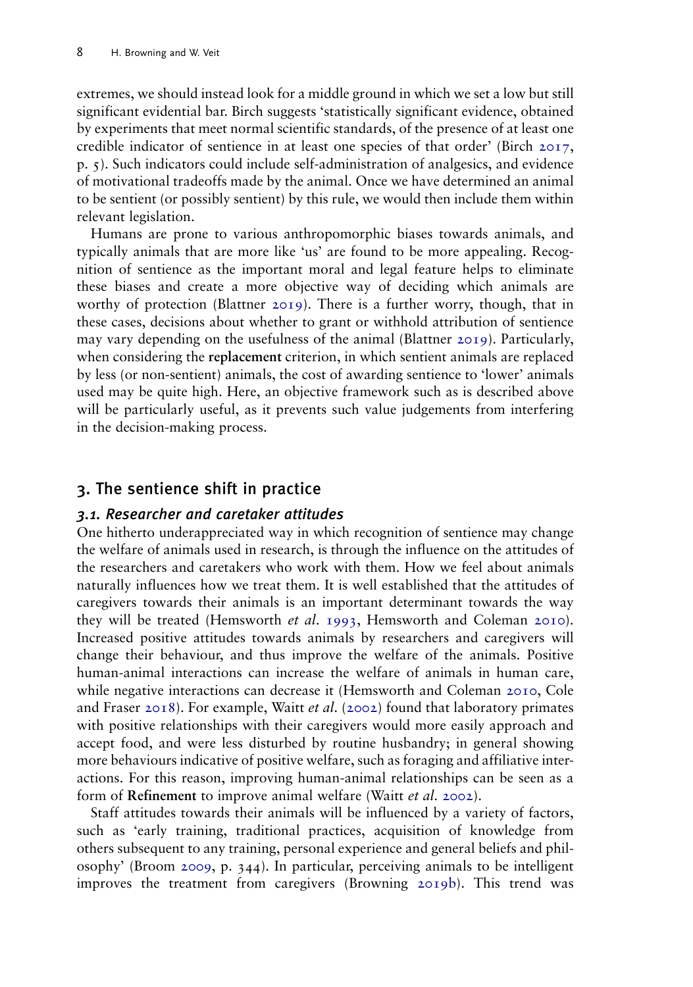extremes, we should instead look for a middle ground in which we set a low but still significant evidential bar. Birch suggests 'statistically significant evidence, obtained by experiments that meet normal scientific standards, of the presence of at least one credible indicator of sentience in at least one species of that order' (Birch [2017,](#page-14-11) p. 5). Such indicators could include self-administration of analgesics, and evidence of motivational tradeoffs made by the animal. Once we have determined an animal to be sentient (or possibly sentient) by this rule, we would then include them within relevant legislation.

Humans are prone to various anthropomorphic biases towards animals, and typically animals that are more like 'us' are found to be more appealing. Recognition of sentience as the important moral and legal feature helps to eliminate these biases and create a more objective way of deciding which animals are worthy of protection (Blattner [2019\)](#page-14-9). There is a further worry, though, that in these cases, decisions about whether to grant or withhold attribution of sentience may vary depending on the usefulness of the animal (Blattner [2019](#page-14-9)). Particularly, when considering the replacement criterion, in which sentient animals are replaced by less (or non-sentient) animals, the cost of awarding sentience to 'lower' animals used may be quite high. Here, an objective framework such as is described above will be particularly useful, as it prevents such value judgements from interfering in the decision-making process.

## 3. The sentience shift in practice

#### 3.1. Researcher and caretaker attitudes

<span id="page-8-2"></span>One hitherto underappreciated way in which recognition of sentience may change the welfare of animals used in research, is through the influence on the attitudes of the researchers and caretakers who work with them. How we feel about animals naturally influences how we treat them. It is well established that the attitudes of caregivers towards their animals is an important determinant towards the way they will be treated (Hemsworth et al. [1993](#page-15-14), Hemsworth and Coleman [2010\)](#page-15-15). Increased positive attitudes towards animals by researchers and caregivers will change their behaviour, and thus improve the welfare of the animals. Positive human-animal interactions can increase the welfare of animals in human care, while negative interactions can decrease it (Hemsworth and Coleman [2010,](#page-15-15) Cole and Fraser [2018](#page-15-16)). For example, Waitt *et al.* ([2002\)](#page-16-16) found that laboratory primates with positive relationships with their caregivers would more easily approach and accept food, and were less disturbed by routine husbandry; in general showing more behaviours indicative of positive welfare, such as foraging and affiliative interactions. For this reason, improving human-animal relationships can be seen as a form of Refinement to improve animal welfare (Waitt et al. [2002](#page-16-16)).

<span id="page-8-4"></span><span id="page-8-3"></span><span id="page-8-1"></span><span id="page-8-0"></span>Staff attitudes towards their animals will be influenced by a variety of factors, such as 'early training, traditional practices, acquisition of knowledge from others subsequent to any training, personal experience and general beliefs and philosophy' (Broom [2009,](#page-14-7) p. 344). In particular, perceiving animals to be intelligent improves the treatment from caregivers (Browning [2019b\)](#page-14-14). This trend was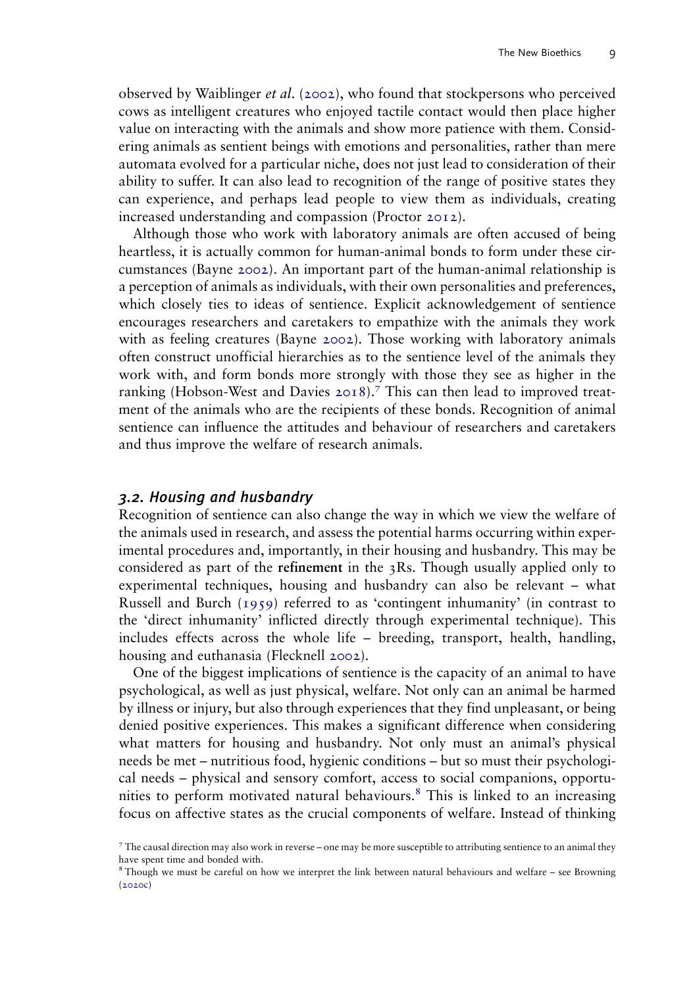<span id="page-9-3"></span>observed by Waiblinger *et al.* [\(2002\)](#page-16-17), who found that stockpersons who perceived cows as intelligent creatures who enjoyed tactile contact would then place higher value on interacting with the animals and show more patience with them. Considering animals as sentient beings with emotions and personalities, rather than mere automata evolved for a particular niche, does not just lead to consideration of their ability to suffer. It can also lead to recognition of the range of positive states they can experience, and perhaps lead people to view them as individuals, creating increased understanding and compassion (Proctor [2012\)](#page-16-3).

<span id="page-9-0"></span>Although those who work with laboratory animals are often accused of being heartless, it is actually common for human-animal bonds to form under these circumstances (Bayne [2002](#page-14-15)). An important part of the human-animal relationship is a perception of animals as individuals, with their own personalities and preferences, which closely ties to ideas of sentience. Explicit acknowledgement of sentience encourages researchers and caretakers to empathize with the animals they work with as feeling creatures (Bayne [2002\)](#page-14-15). Those working with laboratory animals often construct unofficial hierarchies as to the sentience level of the animals they work with, and form bonds more strongly with those they see as higher in the ranking (Hobson-West and Davies [2018\)](#page-15-7).7 This can then lead to improved treatment of the animals who are the recipients of these bonds. Recognition of animal sentience can influence the attitudes and behaviour of researchers and caretakers and thus improve the welfare of research animals.

#### 3.2. Housing and husbandry

Recognition of sentience can also change the way in which we view the welfare of the animals used in research, and assess the potential harms occurring within experimental procedures and, importantly, in their housing and husbandry. This may be considered as part of the refinement in the 3Rs. Though usually applied only to experimental techniques, housing and husbandry can also be relevant – what Russell and Burch [\(1959\)](#page-16-11) referred to as 'contingent inhumanity' (in contrast to the 'direct inhumanity' inflicted directly through experimental technique). This includes effects across the whole life – breeding, transport, health, handling, housing and euthanasia (Flecknell [2002\)](#page-15-17).

<span id="page-9-2"></span>One of the biggest implications of sentience is the capacity of an animal to have psychological, as well as just physical, welfare. Not only can an animal be harmed by illness or injury, but also through experiences that they find unpleasant, or being denied positive experiences. This makes a significant difference when considering what matters for housing and husbandry. Not only must an animal's physical needs be met – nutritious food, hygienic conditions – but so must their psychological needs – physical and sensory comfort, access to social companions, opportunities to perform motivated natural behaviours.8 This is linked to an increasing focus on affective states as the crucial components of welfare. Instead of thinking

<sup>7</sup> The causal direction may also work in reverse – one may be more susceptible to attributing sentience to an animal they have spent time and bonded with.

<span id="page-9-1"></span><sup>8</sup> Though we must be careful on how we interpret the link between natural behaviours and welfare – see Browning ([2020c\)](#page-15-18)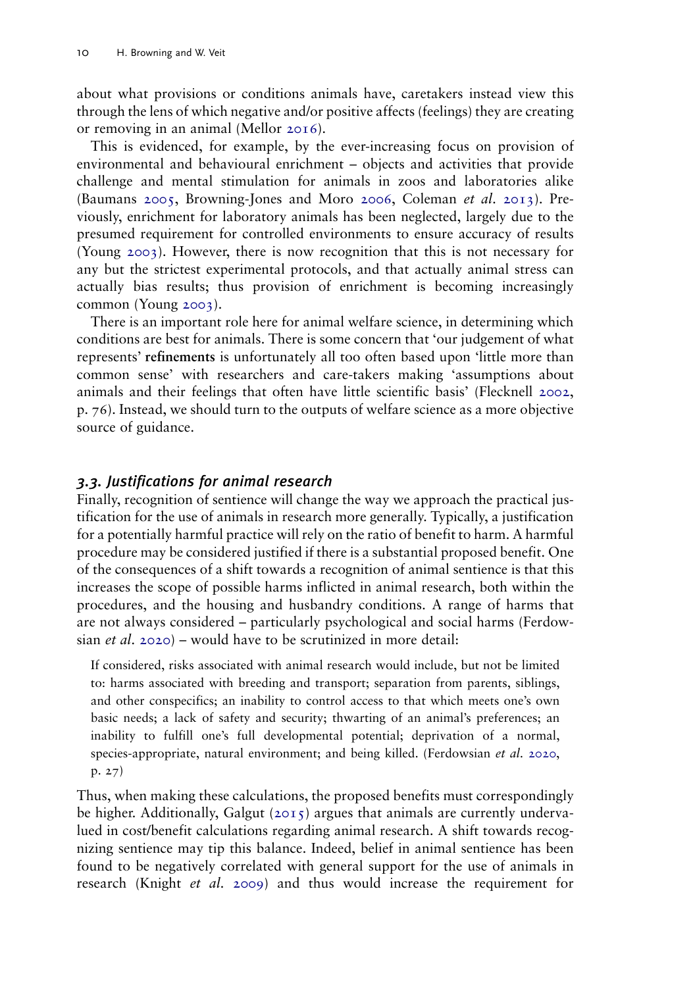<span id="page-10-3"></span>about what provisions or conditions animals have, caretakers instead view this through the lens of which negative and/or positive affects (feelings) they are creating or removing in an animal (Mellor [2016](#page-16-18)).

<span id="page-10-0"></span>This is evidenced, for example, by the ever-increasing focus on provision of environmental and behavioural enrichment – objects and activities that provide challenge and mental stimulation for animals in zoos and laboratories alike (Baumans [2005](#page-14-16), Browning-Jones and Moro [2006,](#page-14-17) Coleman et al. [2013](#page-15-19)). Previously, enrichment for laboratory animals has been neglected, largely due to the presumed requirement for controlled environments to ensure accuracy of results (Young [2003](#page-16-19)). However, there is now recognition that this is not necessary for any but the strictest experimental protocols, and that actually animal stress can actually bias results; thus provision of enrichment is becoming increasingly common (Young [2003](#page-16-19)).

<span id="page-10-4"></span>There is an important role here for animal welfare science, in determining which conditions are best for animals. There is some concern that 'our judgement of what represents' refinements is unfortunately all too often based upon 'little more than common sense' with researchers and care-takers making 'assumptions about animals and their feelings that often have little scientific basis' (Flecknell [2002,](#page-15-17) p. 76). Instead, we should turn to the outputs of welfare science as a more objective source of guidance.

## 3.3. Justifications for animal research

Finally, recognition of sentience will change the way we approach the practical justification for the use of animals in research more generally. Typically, a justification for a potentially harmful practice will rely on the ratio of benefit to harm. A harmful procedure may be considered justified if there is a substantial proposed benefit. One of the consequences of a shift towards a recognition of animal sentience is that this increases the scope of possible harms inflicted in animal research, both within the procedures, and the housing and husbandry conditions. A range of harms that are not always considered – particularly psychological and social harms (Ferdowsian et al. [2020](#page-15-10)) – would have to be scrutinized in more detail:

If considered, risks associated with animal research would include, but not be limited to: harms associated with breeding and transport; separation from parents, siblings, and other conspecifics; an inability to control access to that which meets one's own basic needs; a lack of safety and security; thwarting of an animal's preferences; an inability to fulfill one's full developmental potential; deprivation of a normal, species-appropriate, natural environment; and being killed. (Ferdowsian et al. [2020](#page-15-10), p. 27)

<span id="page-10-2"></span><span id="page-10-1"></span>Thus, when making these calculations, the proposed benefits must correspondingly be higher. Additionally, Galgut ( $2015$ ) argues that animals are currently undervalued in cost/benefit calculations regarding animal research. A shift towards recognizing sentience may tip this balance. Indeed, belief in animal sentience has been found to be negatively correlated with general support for the use of animals in research (Knight et al. [2009\)](#page-16-20) and thus would increase the requirement for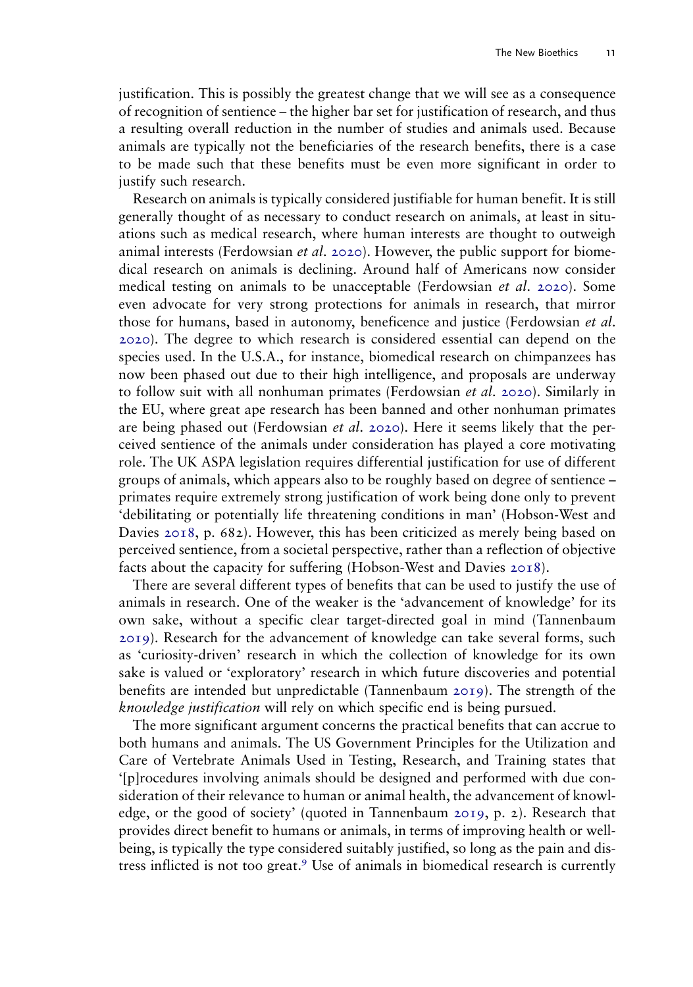justification. This is possibly the greatest change that we will see as a consequence of recognition of sentience – the higher bar set for justification of research, and thus a resulting overall reduction in the number of studies and animals used. Because animals are typically not the beneficiaries of the research benefits, there is a case to be made such that these benefits must be even more significant in order to justify such research.

Research on animals is typically considered justifiable for human benefit. It is still generally thought of as necessary to conduct research on animals, at least in situations such as medical research, where human interests are thought to outweigh animal interests (Ferdowsian *et al.* [2020\)](#page-15-10). However, the public support for biomedical research on animals is declining. Around half of Americans now consider medical testing on animals to be unacceptable (Ferdowsian et al. [2020\)](#page-15-10). Some even advocate for very strong protections for animals in research, that mirror those for humans, based in autonomy, beneficence and justice (Ferdowsian et al. [2020\)](#page-15-10). The degree to which research is considered essential can depend on the species used. In the U.S.A., for instance, biomedical research on chimpanzees has now been phased out due to their high intelligence, and proposals are underway to follow suit with all nonhuman primates (Ferdowsian et al. [2020\)](#page-15-10). Similarly in the EU, where great ape research has been banned and other nonhuman primates are being phased out (Ferdowsian *et al.* [2020\)](#page-15-10). Here it seems likely that the perceived sentience of the animals under consideration has played a core motivating role. The UK ASPA legislation requires differential justification for use of different groups of animals, which appears also to be roughly based on degree of sentience – primates require extremely strong justification of work being done only to prevent 'debilitating or potentially life threatening conditions in man' (Hobson-West and Davies [2018,](#page-15-7) p. 682). However, this has been criticized as merely being based on perceived sentience, from a societal perspective, rather than a reflection of objective facts about the capacity for suffering (Hobson-West and Davies [2018](#page-15-7)).

There are several different types of benefits that can be used to justify the use of animals in research. One of the weaker is the 'advancement of knowledge' for its own sake, without a specific clear target-directed goal in mind (Tannenbaum [2019\)](#page-16-21). Research for the advancement of knowledge can take several forms, such as 'curiosity-driven' research in which the collection of knowledge for its own sake is valued or 'exploratory' research in which future discoveries and potential benefits are intended but unpredictable (Tannenbaum [2019\)](#page-16-21). The strength of the knowledge justification will rely on which specific end is being pursued.

<span id="page-11-0"></span>The more significant argument concerns the practical benefits that can accrue to both humans and animals. The US Government Principles for the Utilization and Care of Vertebrate Animals Used in Testing, Research, and Training states that '[p]rocedures involving animals should be designed and performed with due consideration of their relevance to human or animal health, the advancement of knowledge, or the good of society' (quoted in Tannenbaum [2019](#page-16-21), p. 2). Research that provides direct benefit to humans or animals, in terms of improving health or wellbeing, is typically the type considered suitably justified, so long as the pain and distress inflicted is not too great.<sup>9</sup> Use of animals in biomedical research is currently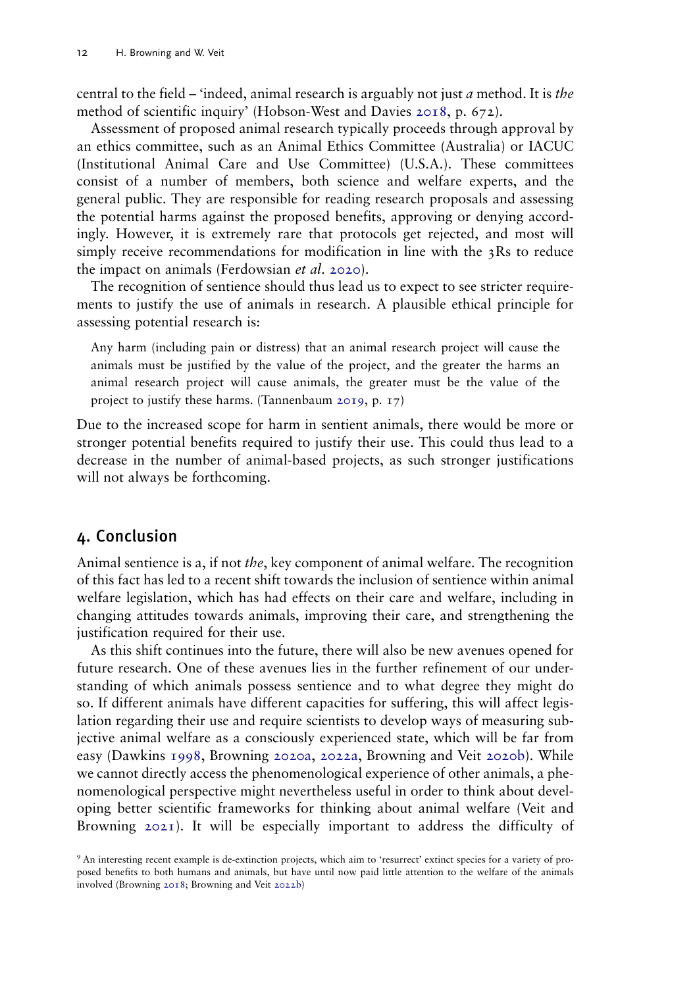central to the field – 'indeed, animal research is arguably not just a method. It is the method of scientific inquiry' (Hobson-West and Davies [2018](#page-15-7), p. 672).

Assessment of proposed animal research typically proceeds through approval by an ethics committee, such as an Animal Ethics Committee (Australia) or IACUC (Institutional Animal Care and Use Committee) (U.S.A.). These committees consist of a number of members, both science and welfare experts, and the general public. They are responsible for reading research proposals and assessing the potential harms against the proposed benefits, approving or denying accordingly. However, it is extremely rare that protocols get rejected, and most will simply receive recommendations for modification in line with the 3Rs to reduce the impact on animals (Ferdowsian et al. [2020\)](#page-15-10).

The recognition of sentience should thus lead us to expect to see stricter requirements to justify the use of animals in research. A plausible ethical principle for assessing potential research is:

Any harm (including pain or distress) that an animal research project will cause the animals must be justified by the value of the project, and the greater the harms an animal research project will cause animals, the greater must be the value of the project to justify these harms. (Tannenbaum [2019,](#page-16-21) p. 17)

Due to the increased scope for harm in sentient animals, there would be more or stronger potential benefits required to justify their use. This could thus lead to a decrease in the number of animal-based projects, as such stronger justifications will not always be forthcoming.

## 4. Conclusion

Animal sentience is a, if not the, key component of animal welfare. The recognition of this fact has led to a recent shift towards the inclusion of sentience within animal welfare legislation, which has had effects on their care and welfare, including in changing attitudes towards animals, improving their care, and strengthening the justification required for their use.

<span id="page-12-1"></span>As this shift continues into the future, there will also be new avenues opened for future research. One of these avenues lies in the further refinement of our understanding of which animals possess sentience and to what degree they might do so. If different animals have different capacities for suffering, this will affect legislation regarding their use and require scientists to develop ways of measuring subjective animal welfare as a consciously experienced state, which will be far from easy (Dawkins [1998](#page-15-21), Browning [2020a,](#page-14-18) [2022a](#page-15-22), Browning and Veit [2020b\)](#page-15-23). While we cannot directly access the phenomenological experience of other animals, a phenomenological perspective might nevertheless useful in order to think about developing better scientific frameworks for thinking about animal welfare (Veit and Browning [2021\)](#page-16-22). It will be especially important to address the difficulty of

<span id="page-12-2"></span><span id="page-12-0"></span><sup>9</sup> An interesting recent example is de-extinction projects, which aim to 'resurrect' extinct species for a variety of proposed benefits to both humans and animals, but have until now paid little attention to the welfare of the animals involved (Browning [2018;](#page-14-19) Browning and Veit [2022b\)](#page-15-24)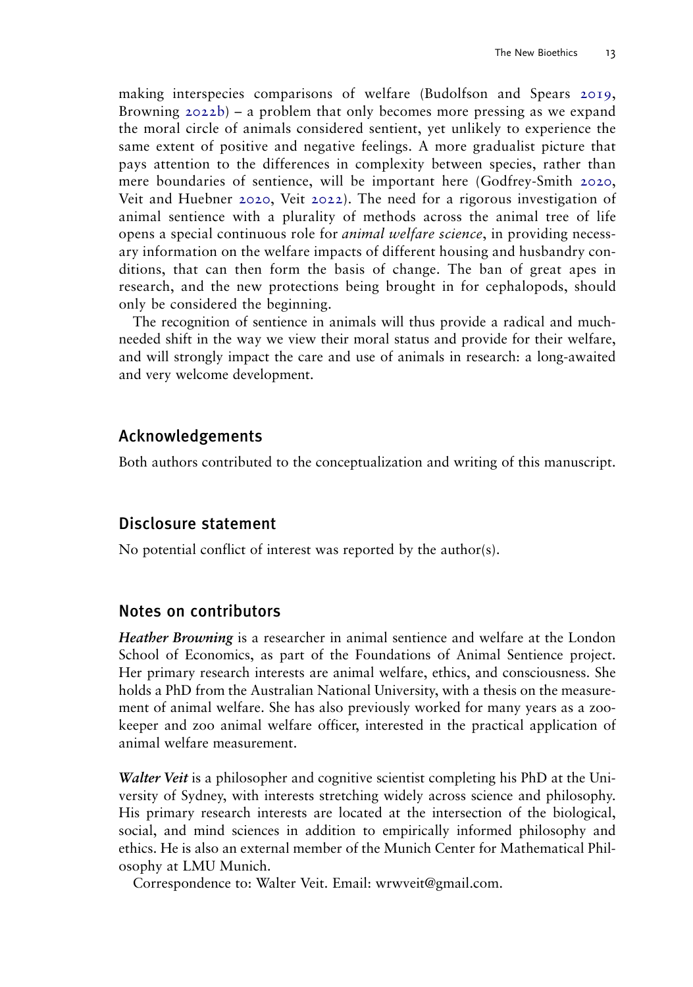<span id="page-13-3"></span><span id="page-13-2"></span><span id="page-13-1"></span><span id="page-13-0"></span>making interspecies comparisons of welfare (Budolfson and Spears [2019,](#page-15-25) Browning  $2022b$  – a problem that only becomes more pressing as we expand the moral circle of animals considered sentient, yet unlikely to experience the same extent of positive and negative feelings. A more gradualist picture that pays attention to the differences in complexity between species, rather than mere boundaries of sentience, will be important here (Godfrey-Smith [2020,](#page-15-27) Veit and Huebner [2020,](#page-16-23) Veit [2022](#page-16-24)). The need for a rigorous investigation of animal sentience with a plurality of methods across the animal tree of life opens a special continuous role for animal welfare science, in providing necessary information on the welfare impacts of different housing and husbandry conditions, that can then form the basis of change. The ban of great apes in research, and the new protections being brought in for cephalopods, should only be considered the beginning.

The recognition of sentience in animals will thus provide a radical and muchneeded shift in the way we view their moral status and provide for their welfare, and will strongly impact the care and use of animals in research: a long-awaited and very welcome development.

## Acknowledgements

Both authors contributed to the conceptualization and writing of this manuscript.

## Disclosure statement

No potential conflict of interest was reported by the author(s).

## Notes on contributors

Heather Browning is a researcher in animal sentience and welfare at the London School of Economics, as part of the Foundations of Animal Sentience project. Her primary research interests are animal welfare, ethics, and consciousness. She holds a PhD from the Australian National University, with a thesis on the measurement of animal welfare. She has also previously worked for many years as a zookeeper and zoo animal welfare officer, interested in the practical application of animal welfare measurement.

Walter Veit is a philosopher and cognitive scientist completing his PhD at the University of Sydney, with interests stretching widely across science and philosophy. His primary research interests are located at the intersection of the biological, social, and mind sciences in addition to empirically informed philosophy and ethics. He is also an external member of the Munich Center for Mathematical Philosophy at LMU Munich.

Correspondence to: Walter Veit. Email: [wrwveit@gmail.com](mailto:wrwveit@gmail.com).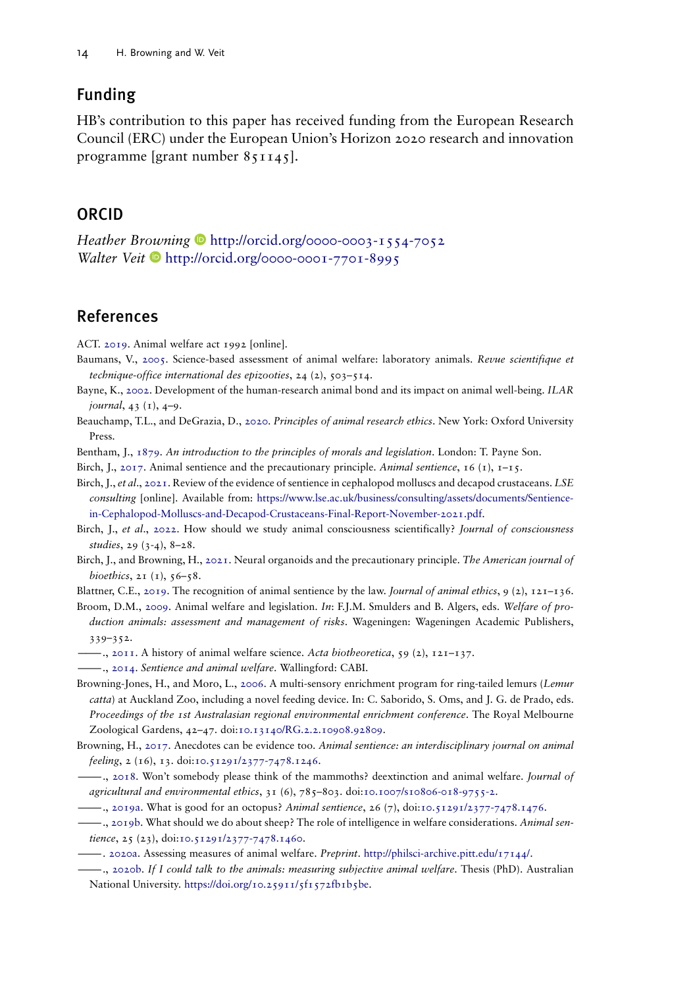## Funding

HB's contribution to this paper has received funding from the European Research Council (ERC) under the European Union's Horizon 2020 research and innovation programme [grant number 851145].

## ORCID

Heather Browning <http://orcid.org/0000-0003-1554-7052> Walter Veit  $\bullet$  <http://orcid.org/0000-0001-7701-8995>

## References

<span id="page-14-16"></span><span id="page-14-10"></span>ACT. [2019.](#page-4-0) Animal welfare act 1992 [online].

- Baumans, V., [2005.](#page-10-0) Science-based assessment of animal welfare: laboratory animals. Revue scientifique et technique-office international des epizooties, 24 (2), 503–514.
- <span id="page-14-15"></span>Bayne, K., [2002](#page-9-0). Development of the human-research animal bond and its impact on animal well-being. ILAR journal, 43 (1), 4–9.
- <span id="page-14-0"></span>Beauchamp, T.L., and DeGrazia, D., [2020.](#page-1-0) Principles of animal research ethics. New York: Oxford University Press.
- <span id="page-14-11"></span><span id="page-14-1"></span>Bentham, J., [1879.](#page-2-0) An introduction to the principles of morals and legislation. London: T. Payne Son.
- <span id="page-14-2"></span>Birch, J., [2017](#page-7-0). Animal sentience and the precautionary principle. Animal sentience, 16 (1),  $1-15$ .

Birch, J., et al., [2021](#page-2-1). Review of the evidence of sentience in cephalopod molluscs and decapod crustaceans. LSE consulting [online]. Available from: [https://www.lse.ac.uk/business/consulting/assets/documents/Sentience](https://www.lse.ac.uk/business/consulting/assets/documents/Sentience-in-Cephalopod-Molluscs-and-Decapod-Crustaceans-Final-Report-November-2021.pdf)[in-Cephalopod-Molluscs-and-Decapod-Crustaceans-Final-Report-November-2021.pdf](https://www.lse.ac.uk/business/consulting/assets/documents/Sentience-in-Cephalopod-Molluscs-and-Decapod-Crustaceans-Final-Report-November-2021.pdf).

- <span id="page-14-6"></span>Birch, J., et al., [2022.](#page-3-0) How should we study animal consciousness scientifically? Journal of consciousness studies, 29 (3-4), 8–28.
- <span id="page-14-12"></span>Birch, J., and Browning, H., [2021.](#page-7-1) Neural organoids and the precautionary principle. The American journal of bioethics,  $2I(1)$ ,  $56-58$ .
- <span id="page-14-9"></span><span id="page-14-7"></span>Blattner, C.E., [2019.](#page-4-1) The recognition of animal sentience by the law. Journal of animal ethics, 9 (2),  $121-136$ .

Broom, D.M., [2009.](#page-3-1) Animal welfare and legislation. In: F.J.M. Smulders and B. Algers, eds. Welfare of production animals: assessment and management of risks. Wageningen: Wageningen Academic Publishers, 339–352.

<span id="page-14-5"></span><span id="page-14-4"></span><sup>2</sup>, [2011](#page-3-2). A history of animal welfare science. Acta biotheoretica, 59 (2), 121-137.

- <span id="page-14-17"></span>-, [2014](#page-3-2). Sentience and animal welfare. Wallingford: CABI.
- Browning-Jones, H., and Moro, L., [2006.](#page-10-0) A multi-sensory enrichment program for ring-tailed lemurs (Lemur catta) at Auckland Zoo, including a novel feeding device. In: C. Saborido, S. Oms, and J. G. de Prado, eds. Proceedings of the 1st Australasian regional environmental enrichment conference. The Royal Melbourne Zoological Gardens, 42–47. doi:[10.13140/RG.2.2.10908.92809.](https://doi.org/10.13140/RG.2.2.10908.92809)
- <span id="page-14-13"></span>Browning, H., [2017.](#page-7-2) Anecdotes can be evidence too. Animal sentience: an interdisciplinary journal on animal feeling, 2 (16), 13. doi:[10.51291/2377-7478.1246](https://doi.org/10.51291/2377-7478.1246).
- <span id="page-14-19"></span> $-$ ., [2018.](#page-12-0) Won't somebody please think of the mammoths? deextinction and animal welfare. Journal of agricultural and environmental ethics, 31 (6), 785–803. doi:[10.1007/s10806-018-9755-2.](https://doi.org/10.1007/s10806-018-9755-2)

<span id="page-14-14"></span><span id="page-14-8"></span>———., [2019a](#page-3-3). What is good for an octopus? Animal sentience, 26 (7), doi[:10.51291/2377-7478.1476](https://doi.org/10.51291/2377-7478.1476).

- , [2019b.](#page-8-0) What should we do about sheep? The role of intelligence in welfare considerations. Animal sen-tience, 25 (23), doi:[10.51291/2377-7478.1460](https://doi.org/10.51291/2377-7478.1460).
- <span id="page-14-18"></span><span id="page-14-3"></span>———. [2020a.](#page-12-1) Assessing measures of animal welfare. Preprint. <http://philsci-archive.pitt.edu/17144/>.
- $-$ , [2020b.](#page-2-2) If I could talk to the animals: measuring subjective animal welfare. Thesis (PhD). Australian National University. [https://doi.org/10.25911/5f1572fb1b5be.](https://doi.org/10.25911/5f1572fb1b5be)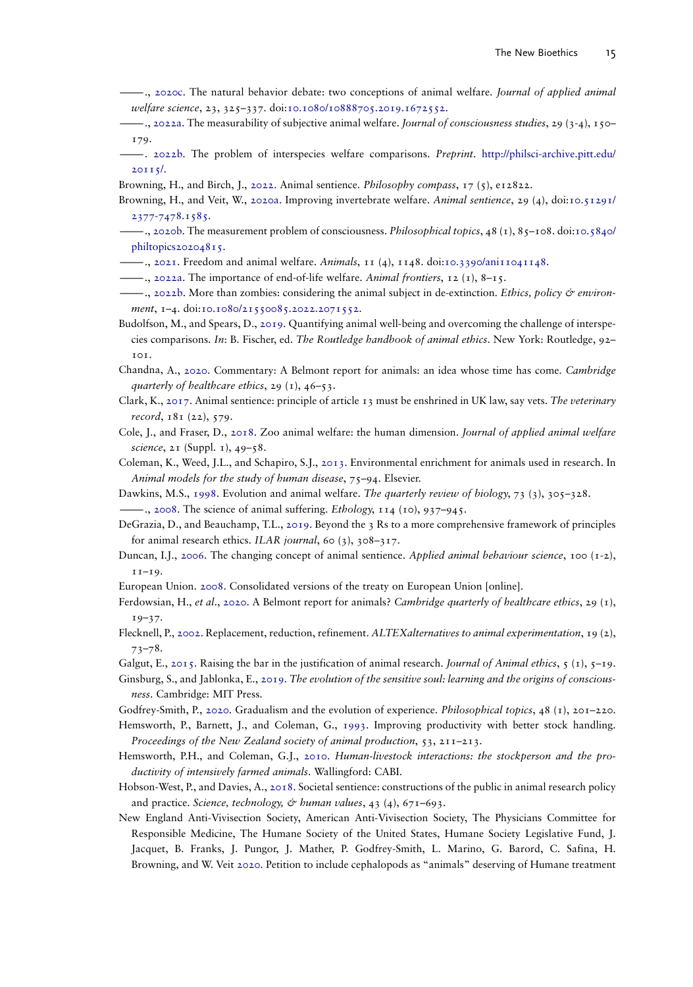- <span id="page-15-18"></span>———., [2020c](#page-9-1). The natural behavior debate: two conceptions of animal welfare. Journal of applied animal welfare science, 23, 325–337. doi:[10.1080/10888705.2019.1672552](https://doi.org/10.1080/10888705.2019.1672552).
- <span id="page-15-22"></span>———., [2022a](#page-12-1). The measurability of subjective animal welfare. Journal of consciousness studies, 29 (3-4), 150– 179.
- <span id="page-15-26"></span>-. [2022b](#page-13-0). The problem of interspecies welfare comparisons. Preprint. [http://philsci-archive.pitt.edu/](http://philsci-archive.pitt.edu/20115/) [20115/.](http://philsci-archive.pitt.edu/20115/)
- <span id="page-15-13"></span><span id="page-15-2"></span>Browning, H., and Birch, J., [2022.](#page-2-3) Animal sentience. *Philosophy compass*,  $17$  (5),  $e12822$ .
- Browning, H., and Veit, W., [2020a.](#page-6-0) Improving invertebrate welfare. Animal sentience, 29 (4), doi[:10.51291/](https://doi.org/10.51291/2377-7478.1585) [2377-7478.1585](https://doi.org/10.51291/2377-7478.1585).
- <span id="page-15-23"></span>-., [2020b.](#page-12-1) The measurement problem of consciousness. *Philosophical topics*, 48 (1), 85–108. doi[:10.5840/](https://doi.org/10.5840/philtopics20204815) [philtopics20204815.](https://doi.org/10.5840/philtopics20204815)
- <span id="page-15-12"></span><span id="page-15-1"></span> $-$ ., [2021](#page-6-1). Freedom and animal welfare. Animals, 11 (4), 1148. doi[:10.3390/ani11041148.](https://doi.org/10.3390/ani11041148)
- <span id="page-15-24"></span> $-$ ., [2022a.](#page-1-1) The importance of end-of-life welfare. Animal frontiers, 12 (1), 8–15.
- $-$ , [2022b](#page-12-0). More than zombies: considering the animal subject in de-extinction. Ethics, policy  $\mathcal O$  environ-ment, 1-4. doi[:10.1080/21550085.2022.2071552.](https://doi.org/10.1080/21550085.2022.2071552)
- <span id="page-15-25"></span>Budolfson, M., and Spears, D., [2019.](#page-13-1) Quantifying animal well-being and overcoming the challenge of interspecies comparisons. In: B. Fischer, ed. The Routledge handbook of animal ethics. New York: Routledge, 92– 101.
- <span id="page-15-11"></span>Chandna, A., [2020.](#page-4-2) Commentary: A Belmont report for animals: an idea whose time has come. Cambridge quarterly of healthcare ethics, 29  $(1)$ , 46-53.
- <span id="page-15-9"></span>Clark, K., [2017.](#page-4-3) Animal sentience: principle of article 13 must be enshrined in UK law, say vets. The veterinary record, 181 (22), 579.
- <span id="page-15-16"></span>Cole, J., and Fraser, D., [2018.](#page-8-1) Zoo animal welfare: the human dimension. Journal of applied animal welfare science, 21 (Suppl. 1), 49-58.
- <span id="page-15-19"></span>Coleman, K., Weed, J.L., and Schapiro, S.J., [2013](#page-10-0). Environmental enrichment for animals used in research. In Animal models for the study of human disease, 75-94. Elsevier.
- <span id="page-15-21"></span><span id="page-15-5"></span>Dawkins, M.S., [1998](#page-12-1). Evolution and animal welfare. The quarterly review of biology, 73 (3), 305–328.
	- ——., [2008](#page-3-4). The science of animal suffering. *Ethology*, 114 (10), 937–945.
- <span id="page-15-0"></span>DeGrazia, D., and Beauchamp, T.L., [2019](#page-1-0). Beyond the 3 Rs to a more comprehensive framework of principles for animal research ethics. ILAR journal, 60 (3), 308–317.
- <span id="page-15-3"></span>Duncan, I.J., [2006](#page-2-4). The changing concept of animal sentience. Applied animal behaviour science, 100 (1-2), 11–19.
- <span id="page-15-10"></span><span id="page-15-8"></span>European Union. [2008](#page-4-4). Consolidated versions of the treaty on European Union [online].
- Ferdowsian, H., et al., [2020.](#page-4-5) A Belmont report for animals? Cambridge quarterly of healthcare ethics, 29 (1),  $19-37.$
- <span id="page-15-17"></span>Flecknell, P., [2002.](#page-9-2) Replacement, reduction, refinement. ALTEXalternatives to animal experimentation, 19 (2), 73–78.
- <span id="page-15-20"></span><span id="page-15-4"></span>Galgut, E., [2015](#page-10-1). Raising the bar in the justification of animal research. Journal of Animal ethics, 5 (1), 5–19.
- Ginsburg, S., and Jablonka, E., [2019](#page-2-1). The evolution of the sensitive soul: learning and the origins of consciousness. Cambridge: MIT Press.
- <span id="page-15-27"></span><span id="page-15-14"></span>Godfrey-Smith, P., [2020](#page-13-2). Gradualism and the evolution of experience. Philosophical topics, 48 (1), 201–220.
- Hemsworth, P., Barnett, J., and Coleman, G., [1993.](#page-8-2) Improving productivity with better stock handling. Proceedings of the New Zealand society of animal production, 53, 211–213.
- <span id="page-15-15"></span>Hemsworth, P.H., and Coleman, G.J., [2010.](#page-8-3) Human-livestock interactions: the stockperson and the productivity of intensively farmed animals. Wallingford: CABI.
- <span id="page-15-7"></span>Hobson-West, P., and Davies, A., [2018.](#page-4-6) Societal sentience: constructions of the public in animal research policy and practice. Science, technology, & human values,  $43$  ( $4$ ),  $671-693$ .
- <span id="page-15-6"></span>New England Anti-Vivisection Society, American Anti-Vivisection Society, The Physicians Committee for Responsible Medicine, The Humane Society of the United States, Humane Society Legislative Fund, J. Jacquet, B. Franks, J. Pungor, J. Mather, P. Godfrey-Smith, L. Marino, G. Barord, C. Safina, H. Browning, and W. Veit [2020](#page-3-3). Petition to include cephalopods as "animals" deserving of Humane treatment